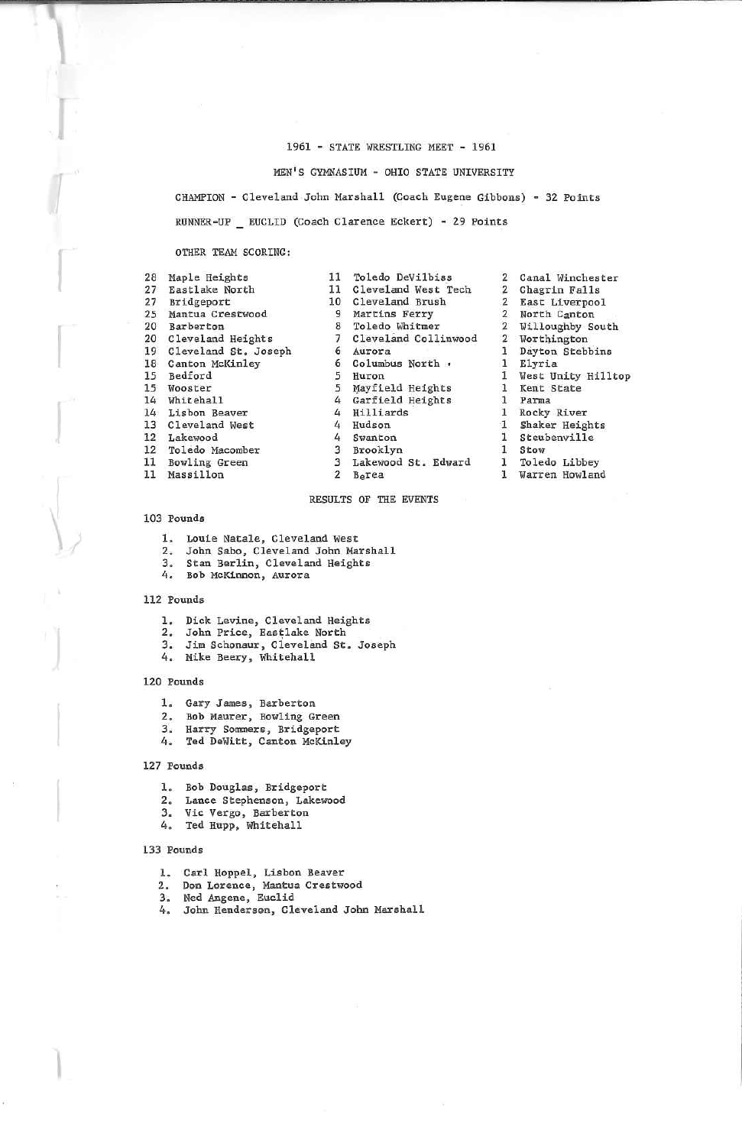## 1961 - STATE WRESTLISG MEET - 1961

MEN'S GYMHASIUM - OHIO STATE UNIVERSITY

CHAMPION - Cleveland John Marshall (Coach Eugene Gibbons) - 32 PointsRUNNER-UP EUCLID (Coach Clarence Eckert) - 29 Points

Winchester

#### OTHER TEAM SCORING:

| 28 | Maple Heights        | 11             | Toledo DeVilbiss     | $\overline{2}$ | Canal Winchester   |
|----|----------------------|----------------|----------------------|----------------|--------------------|
| 27 | Eastlake North       | 11             | Cleveland West Tech  |                | Chagrin Falls      |
| 27 | Bridgeport           | 10             | Cleveland Brush      | 2              | East Liverpool     |
| 25 | Mantua Crestwood     | 9              | Martins Ferry        |                | North Canton       |
| 20 | Barberton            | 8              | Toledo Whitmer       | 2              | Willoughby South   |
| 20 | Cleveland Heights    |                | Cleveland Collinwood | $\mathbf{p}$   | Worthington        |
| 19 | Cleveland St. Joseph | 6              | Aurora               |                | Dayton Stebbins    |
| 18 | Canton McKinley      | 6              | Columbus North .     |                | Elyria             |
| 15 | Bedford              |                | Huron                |                | West Unity Hillton |
| 15 | Wooster              | 5              | Mayfield Heights     |                | Kent State         |
| 14 | Whitehall            | 4              | Garfield Heights     |                | Parma              |
| 14 | Lisbon Beaver        |                | Hilliards            |                | Rocky River        |
| 13 | Cleveland West       | 4              | Hudson               |                | Shaker Heights     |
| 12 | Lakewood             | 4              | Swanton              |                | Steubenville       |
| 12 | Toledo Macomber      | 3              | Brooklyn             |                | Stow               |
| 11 | Bowling Green        |                | Lakewood St. Edward  |                | Toledo Libbey      |
| 11 | Massillon            | $\overline{2}$ | Borea                |                | Warren Howland     |

#### RESULTS OF THE EVENTS

#### 103 Pounds

- 
- 1. Louie Natale, Cleveland West<br>2. John Sabo, Cleveland John Marshall 2. John Sabo, Cleveland John Marshall<br>3. Stan Berlin, Cleveland Heights<br>4. Bob McKinnon, Aurora
- 
- 

## 112 Pounds

- 
- 1. Dick Levine, Cleveland Heights<br>2. John Price, Eastlake North
- 3. Jim Schonaur, Cleveland St. Joseph
- 4. Mike Beery, Whitehall

## 120 Pounds

- 1. Gary James, Earberton
- Z. Bob Maurer, Bowling Green
- 3. Harry Sommers, Bridgeport
- 4. Ted DeWitt, Canton McKinley

#### 127 Pounds

- 1. Bob Douglas, Bridgeport
- 2. Lance Stepheason, Lakewood
- 
- 3. Vie Vergo, Barberton 4, Ted Hupp, Whitehall

#### 133 Pounds

- 
- 1. Carl Hoppel, Lisbon Beaver Z. Don Lorence. Mantua Crestwood
- 3. Ned Angene, Euclid
- 4. John Henderson, Cleveland John Marshall